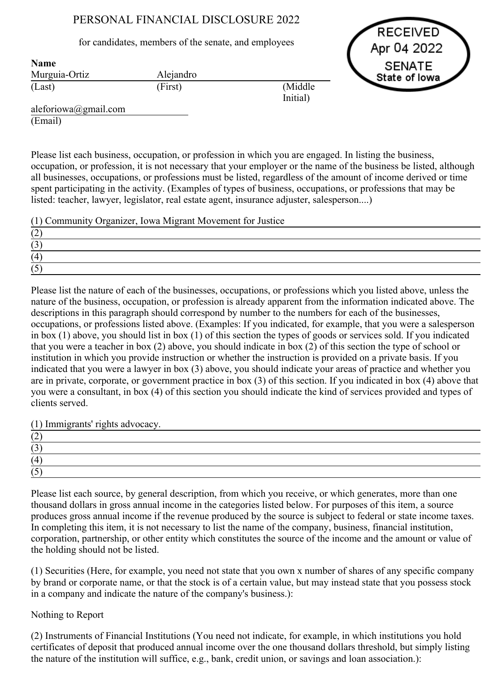## PERSONAL FINANCIAL DISCLOSURE 2022

for candidates, members of the senate, and employees

RECEIVED Apr 04 2022 **SENATE** State of lowa

| таше          |           |          |
|---------------|-----------|----------|
| Murguia-Ortiz | Alejandro |          |
| (Last)        | (First)   | (Middle) |
|               |           | Initial) |

aleforiowa@gmail.com (Email)

 $N = 1$ 

Please list each business, occupation, or profession in which you are engaged. In listing the business, occupation, or profession, it is not necessary that your employer or the name of the business be listed, although all businesses, occupations, or professions must be listed, regardless of the amount of income derived or time spent participating in the activity. (Examples of types of business, occupations, or professions that may be listed: teacher, lawyer, legislator, real estate agent, insurance adjuster, salesperson....)

(1) Community Organizer, Iowa Migrant Movement for Justice

| ॱ∸ |  |  |
|----|--|--|
|    |  |  |
|    |  |  |
|    |  |  |

Please list the nature of each of the businesses, occupations, or professions which you listed above, unless the nature of the business, occupation, or profession is already apparent from the information indicated above. The descriptions in this paragraph should correspond by number to the numbers for each of the businesses, occupations, or professions listed above. (Examples: If you indicated, for example, that you were a salesperson in box (1) above, you should list in box (1) of this section the types of goods or services sold. If you indicated that you were a teacher in box (2) above, you should indicate in box (2) of this section the type of school or institution in which you provide instruction or whether the instruction is provided on a private basis. If you indicated that you were a lawyer in box (3) above, you should indicate your areas of practice and whether you are in private, corporate, or government practice in box (3) of this section. If you indicated in box (4) above that you were a consultant, in box (4) of this section you should indicate the kind of services provided and types of clients served.

(1) Immigrants' rights advocacy.

| . <u>. .</u> |  |  |
|--------------|--|--|
|              |  |  |
| $\Delta$     |  |  |
|              |  |  |

Please list each source, by general description, from which you receive, or which generates, more than one thousand dollars in gross annual income in the categories listed below. For purposes of this item, a source produces gross annual income if the revenue produced by the source is subject to federal or state income taxes. In completing this item, it is not necessary to list the name of the company, business, financial institution, corporation, partnership, or other entity which constitutes the source of the income and the amount or value of the holding should not be listed.

(1) Securities (Here, for example, you need not state that you own x number of shares of any specific company by brand or corporate name, or that the stock is of a certain value, but may instead state that you possess stock in a company and indicate the nature of the company's business.):

## Nothing to Report

(2) Instruments of Financial Institutions (You need not indicate, for example, in which institutions you hold certificates of deposit that produced annual income over the one thousand dollars threshold, but simply listing the nature of the institution will suffice, e.g., bank, credit union, or savings and loan association.):